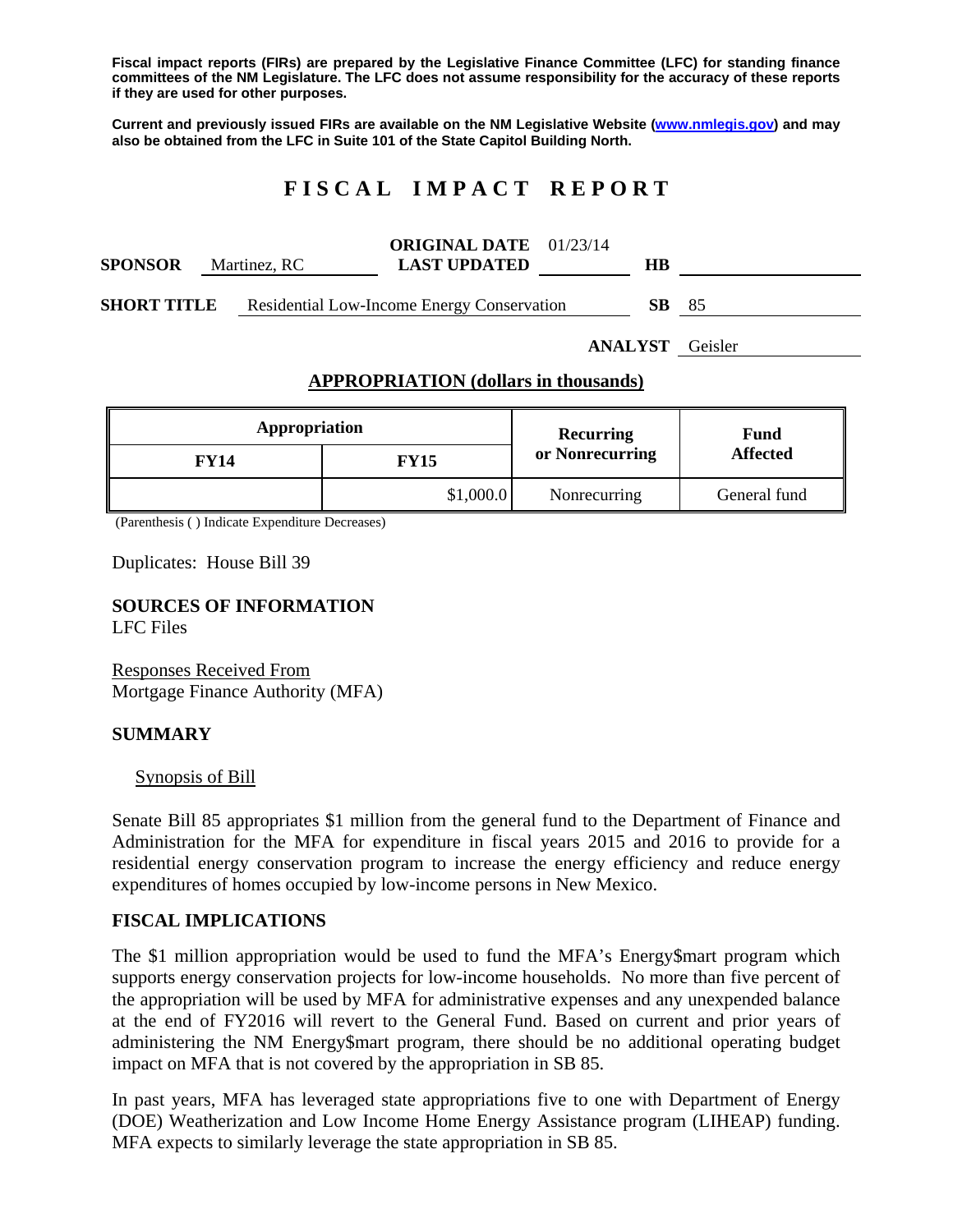**Fiscal impact reports (FIRs) are prepared by the Legislative Finance Committee (LFC) for standing finance committees of the NM Legislature. The LFC does not assume responsibility for the accuracy of these reports if they are used for other purposes.** 

**Current and previously issued FIRs are available on the NM Legislative Website (www.nmlegis.gov) and may also be obtained from the LFC in Suite 101 of the State Capitol Building North.** 

# **F I S C A L I M P A C T R E P O R T**

| <b>SPONSOR</b>     | Martinez, RC | <b>ORIGINAL DATE</b> 01/23/14<br><b>LAST UPDATED</b> | HВ  |      |
|--------------------|--------------|------------------------------------------------------|-----|------|
| <b>SHORT TITLE</b> |              | <b>Residential Low-Income Energy Conservation</b>    | SB. | - 85 |

**ANALYST** Geisler

## **APPROPRIATION (dollars in thousands)**

| Appropriation |           | Recurring       | Fund<br><b>Affected</b> |  |
|---------------|-----------|-----------------|-------------------------|--|
| <b>FY14</b>   | FY15      | or Nonrecurring |                         |  |
|               | \$1,000.0 | Nonrecurring    | General fund            |  |

(Parenthesis ( ) Indicate Expenditure Decreases)

Duplicates: House Bill 39

**SOURCES OF INFORMATION**  LFC Files

Responses Received From Mortgage Finance Authority (MFA)

#### **SUMMARY**

#### Synopsis of Bill

Senate Bill 85 appropriates \$1 million from the general fund to the Department of Finance and Administration for the MFA for expenditure in fiscal years 2015 and 2016 to provide for a residential energy conservation program to increase the energy efficiency and reduce energy expenditures of homes occupied by low-income persons in New Mexico.

#### **FISCAL IMPLICATIONS**

The \$1 million appropriation would be used to fund the MFA's Energy\$mart program which supports energy conservation projects for low-income households. No more than five percent of the appropriation will be used by MFA for administrative expenses and any unexpended balance at the end of FY2016 will revert to the General Fund. Based on current and prior years of administering the NM Energy\$mart program, there should be no additional operating budget impact on MFA that is not covered by the appropriation in SB 85.

In past years, MFA has leveraged state appropriations five to one with Department of Energy (DOE) Weatherization and Low Income Home Energy Assistance program (LIHEAP) funding. MFA expects to similarly leverage the state appropriation in SB 85.